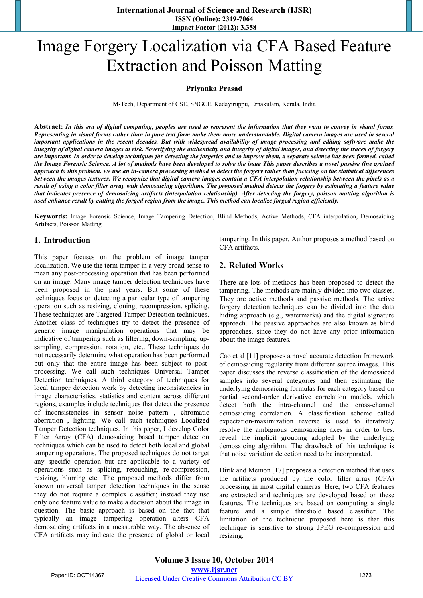**International Journal of Science and Research (IJSR) ISSN (Online): 2319-7064 Impact Factor (2012): 3.358** 

# Image Forgery Localization via CFA Based Feature Extraction and Poisson Matting

#### **Priyanka Prasad**

M-Tech, Department of CSE, SNGCE, Kadayiruppu, Ernakulam, Kerala, India

**Abstract:** *In this era of digital computing, peoples are used to represent the information that they want to convey in visual forms. Representing in visual forms rather than in pure text form make them more understandable. Digital camera images are used in several important applications in the recent decades. But with widespread availability of image processing and editing software make the integrity of digital camera images at risk. Soverifying the authenticity and integrity of digital images, and detecting the traces of forgery are important. In order to develop techniques for detecting the forgeries and to improve them, a separate science has been formed, called the Image Forensic Science. A lot of methods have been developed to solve the issue This paper describes a novel passive fine grained approach to this problem. we use an in-camera processing method to detect the forgery rather than focusing on the statistical differences between the images textures. We recognize that digital camera images contain a CFA interpolation relationship between the pixels as a result of using a color filter array with demosaicing algorithms. The proposed method detects the forgery by estimating a feature value that indicates presence of demosaicing artifacts (interpolation relationship). After detecting the forgery, poisson matting algorithm is used enhance result by cutting the forged region from the image. This method can localize forged region efficiently.* 

**Keywords:** Image Forensic Science, Image Tampering Detection, Blind Methods, Active Methods, CFA interpolation, Demosaicing Artifacts, Poisson Matting

#### **1. Introduction**

This paper focuses on the problem of image tamper localization. We use the term tamper in a very broad sense to mean any post-processing operation that has been performed on an image. Many image tamper detection techniques have been proposed in the past years. But some of these techniques focus on detecting a particular type of tampering operation such as resizing, cloning, recompression, splicing. These techniques are Targeted Tamper Detection techniques. Another class of techniques try to detect the presence of generic image manipulation operations that may be indicative of tampering such as filtering, down-sampling, upsampling, compression, rotation, etc.. These techniques do not necessarily determine what operation has been performed but only that the entire image has been subject to postprocessing. We call such techniques Universal Tamper Detection techniques. A third category of techniques for local tamper detection work by detecting inconsistencies in image characteristics, statistics and content across different regions, examples include techniques that detect the presence of inconsistencies in sensor noise pattern , chromatic aberration , lighting. We call such techniques Localized Tamper Detection techniques. In this paper, I develop Color Filter Array (CFA) demosaicing based tamper detection techniques which can be used to detect both local and global tampering operations. The proposed techniques do not target any specific operation but are applicable to a variety of operations such as splicing, retouching, re-compression, resizing, blurring etc. The proposed methods differ from known universal tamper detection techniques in the sense they do not require a complex classifier; instead they use only one feature value to make a decision about the image in question. The basic approach is based on the fact that typically an image tampering operation alters CFA demosaicing artifacts in a measurable way. The absence of CFA artifacts may indicate the presence of global or local

tampering. In this paper, Author proposes a method based on CFA artifacts.

## **2. Related Works**

There are lots of methods has been proposed to detect the tampering. The methods are mainly divided into two classes. They are active methods and passive methods. The active forgery detection techniques can be divided into the data hiding approach (e.g., watermarks) and the digital signature approach. The passive approaches are also known as blind approaches, since they do not have any prior information about the image features.

Cao et al [11] proposes a novel accurate detection framework of demosaicing regularity from different source images. This paper discusses the reverse classification of the demosaiced samples into several categories and then estimating the underlying demosaicing formulas for each category based on partial second-order derivative correlation models, which detect both the intra-channel and the cross-channel demosaicing correlation. A classification scheme called expectation-maximization reverse is used to iteratively resolve the ambiguous demosaicing axes in order to best reveal the implicit grouping adopted by the underlying demosaicing algorithm. The drawback of this technique is that noise variation detection need to be incorporated.

Dirik and Memon [17] proposes a detection method that uses the artifacts produced by the color filter array (CFA) processing in most digital cameras. Here, two CFA features are extracted and techniques are developed based on these features. The techniques are based on computing a single feature and a simple threshold based classifier. The limitation of the technique proposed here is that this technique is sensitive to strong JPEG re-compression and resizing.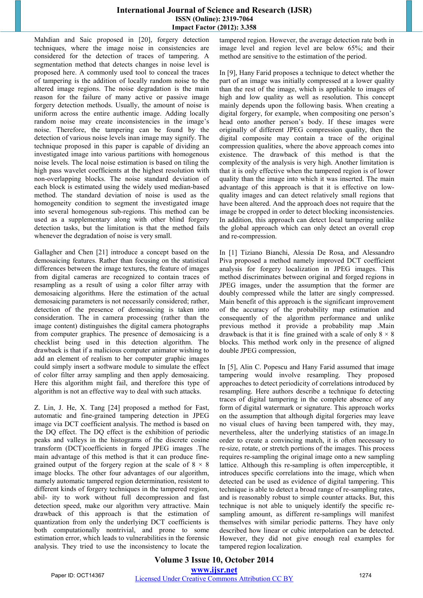## **International Journal of Science and Research (IJSR) ISSN (Online): 2319-7064 Impact Factor (2012): 3.358**

Mahdian and Saic proposed in [20], forgery detection techniques, where the image noise in consistencies are considered for the detection of traces of tampering. A segmentation method that detects changes in noise level is proposed here. A commonly used tool to conceal the traces of tampering is the addition of locally random noise to the altered image regions. The noise degradation is the main reason for the failure of many active or passive image forgery detection methods. Usually, the amount of noise is uniform across the entire authentic image. Adding locally random noise may create inconsistencies in the image's noise. Therefore, the tampering can be found by the detection of various noise levels inan image may signify. The technique proposed in this paper is capable of dividing an investigated image into various partitions with homogenous noise levels. The local noise estimation is based on tiling the high pass wavelet coefficients at the highest resolution with non-overlapping blocks. The noise standard deviation of each block is estimated using the widely used median-based method. The standard deviation of noise is used as the homogeneity condition to segment the investigated image into several homogenous sub-regions. This method can be used as a supplementary along with other blind forgery detection tasks, but the limitation is that the method fails whenever the degradation of noise is very small.

Gallagher and Chen [21] introduce a concept based on the demosaicing features. Rather than focusing on the statistical differences between the image textures, the feature of images from digital cameras are recognized to contain traces of resampling as a result of using a color filter array with demosaicing algorithms. Here the estimation of the actual demosaicing parameters is not necessarily considered; rather, detection of the presence of demosaicing is taken into consideration. The in camera processing (rather than the image content) distinguishes the digital camera photographs from computer graphics. The presence of demosaicing is a checklist being used in this detection algorithm. The drawback is that if a malicious computer animator wishing to add an element of realism to her computer graphic images could simply insert a software module to simulate the effect of color filter array sampling and then apply demosaicing. Here this algorithm might fail, and therefore this type of algorithm is not an effective way to deal with such attacks.

Z. Lin, J. He, X. Tang [24] proposed a method for Fast, automatic and fine-grained tampering detection in JPEG image via DCT coefficient analysis. The method is based on the DQ effect. The DQ effect is the exhibition of periodic peaks and valleys in the histograms of the discrete cosine transform (DCT)coefficients in forged JPEG images .The main advantage of this method is that it can produce finegrained output of the forgery region at the scale of  $8 \times 8$ image blocks. The other four advantages of our algorithm, namely automatic tampered region determination, resistent to different kinds of forgery techniques in the tampered region, abil- ity to work without full decompression and fast detection speed, make our algorithm very attractive. Main drawback of this approach is that the estimation of quantization from only the underlying DCT coefficients is both computationally nontrivial, and prone to some estimation error, which leads to vulnerabilities in the forensic analysis. They tried to use the inconsistency to locate the tampered region. However, the average detection rate both in image level and region level are below 65%; and their method are sensitive to the estimation of the period.

In [9], Hany Farid proposes a technique to detect whether the part of an image was initially compressed at a lower quality than the rest of the image, which is applicable to images of high and low quality as well as resolution. This concept mainly depends upon the following basis. When creating a digital forgery, for example, when compositing one person's head onto another person's body. If these images were originally of different JPEG compression quality, then the digital composite may contain a trace of the original compression qualities, where the above approach comes into existence. The drawback of this method is that the complexity of the analysis is very high. Another limitation is that it is only effective when the tampered region is of lower quality than the image into which it was inserted. The main advantage of this approach is that it is effective on lowquality images and can detect relatively small regions that have been altered. And the approach does not require that the image be cropped in order to detect blocking inconsistencies. In addition, this approach can detect local tampering unlike the global approach which can only detect an overall crop and re-compression.

In [1] Tiziano Bianchi, Alessia De Rosa, and Alessandro Piva proposed a method namely improved DCT coefficient analysis for forgery localization in JPEG images. This method discriminates between original and forged regions in JPEG images, under the assumption that the former are doubly compressed while the latter are singly compressed. Main benefit of this approach is the significant improvement of the accuracy of the probability map estimation and consequently of the algorithm performance and unlike previous method it provide a probability map .Main drawback is that it is fine grained with a scale of only  $8 \times 8$ blocks. This method work only in the presence of aligned double JPEG compression,

In [5], Alin C. Popescu and Hany Farid assumed that image tampering would involve resampling. They proposed approaches to detect periodicity of correlations introduced by resampling. Here authors describe a technique fo detecting traces of digital tampering in the complete absence of any form of digital watermark or signature. This approach works on the assumption that although digital forgeries may leave no visual clues of having been tampered with, they may, nevertheless, alter the underlying statistics of an image.In order to create a convincing match, it is often necessary to re-size, rotate, or stretch portions of the images. This process requires re-sampling the original image onto a new sampling lattice. Although this re-sampling is often imperceptible, it introduces specific correlations into the image, which when detected can be used as evidence of digital tampering. This technique is able to detect a broad range of re-sampling rates, and is reasonably robust to simple counter attacks. But, this technique is not able to uniquely identify the specific resampling amount, as different re-samplings will manifest themselves with similar periodic patterns. They have only described how linear or cubic interpolation can be detected. However, they did not give enough real examples for tampered region localization.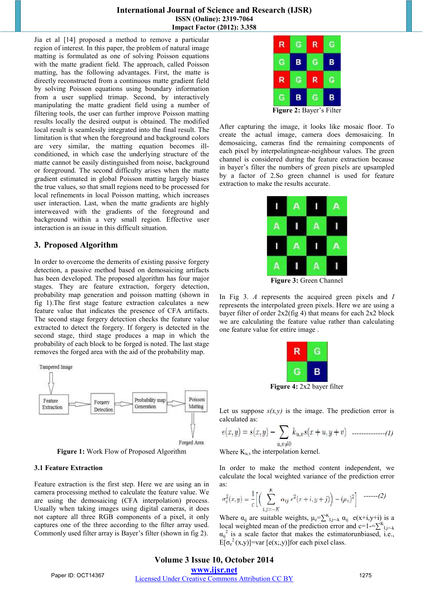#### **International Journal of Science and Research (IJSR) ISSN (Online): 2319-7064 Impact Factor (2012): 3.358**

Jia et al [14] proposed a method to remove a particular region of interest. In this paper, the problem of natural image matting is formulated as one of solving Poisson equations with the matte gradient field. The approach, called Poisson matting, has the following advantages. First, the matte is directly reconstructed from a continuous matte gradient field by solving Poisson equations using boundary information from a user supplied trimap. Second, by interactively manipulating the matte gradient field using a number of filtering tools, the user can further improve Poisson matting results locally the desired output is obtained. The modified local result is seamlessly integrated into the final result. The limitation is that when the foreground and background colors are very similar, the matting equation becomes illconditioned, in which case the underlying structure of the matte cannot be easily distinguished from noise, background or foreground. The second difficulty arises when the matte gradient estimated in global Poisson matting largely biases the true values, so that small regions need to be processed for local refinements in local Poisson matting, which increases user interaction. Last, when the matte gradients are highly interweaved with the gradients of the foreground and background within a very small region. Effective user interaction is an issue in this difficult situation.

# **3. Proposed Algorithm**

In order to overcome the demerits of existing passive forgery detection, a passive method based on demosaicing artifacts has been developed. The proposed algorithm has four major stages. They are feature extraction, forgery detection, probability map generation and poisson matting (shown in fig 1).The first stage feature extraction calculates a new feature value that indicates the presence of CFA artifacts. The second stage forgery detection checks the feature value extracted to detect the forgery. If forgery is detected in the second stage, third stage produces a map in which the probability of each block to be forged is noted. The last stage removes the forged area with the aid of the probability map.



**Figure 1:** Work Flow of Proposed Algorithm

#### **3.1 Feature Extraction**

Feature extraction is the first step. Here we are using an in camera processing method to calculate the feature value. We are using the demosaicing (CFA interpolation) process. Usually when taking images using digital cameras, it does not capture all three RGB components of a pixel, it only captures one of the three according to the filter array used. Commonly used filter array is Bayer's filter (shown in fig 2).



After capturing the image, it looks like mosaic floor. To create the actual image, camera does demosaicing. In demosaicing, cameras find the remaining components of each pixel by interpolatingnear-neighbour values. The green channel is considered during the feature extraction because in bayer's filter the numbers of green pixels are upsampled by a factor of 2.So green channel is used for feature extraction to make the results accurate.

| -- | -- | ٠ |
|----|----|---|

**Figure 3:** Green Channel

In Fig 3. *A* represents the acquired green pixels and *I* represents the interpolated green pixels. Here we are using a bayer filter of order 2x2(fig 4) that means for each 2x2 block we are calculating the feature value rather than calculating one feature value for entire image .

**Figure 4:** 2x2 bayer filter

Let us suppose  $s(x,y)$  is the image. The prediction error is calculated as:

*--------------(1)* 

Where  $K_{u,v}$  the interpolation kernel.

In order to make the method content independent, we calculate the local weighted variance of the prediction error as:

$$
\sigma_e^2(x, y) = \frac{1}{c} \Big[ \Big( \sum_{i, j = -K}^{K} \alpha_{ij} e^2(x + i, y + j) \Big) - (\mu_e)^2 \Big] \quad \text{---}(2)
$$

Where  $\alpha_{ij}$  are suitable weights,  $\mu_e = \sum_{i,j=-k}^{K} \alpha_{ij}$  e(x+i,y+i) is a local weighted mean of the prediction error and c=1-= $\sum_{i,j=-k}^{K}$  $\alpha_{ij}^2$  is a scale factor that makes the estimatorunbiased, i.e.,  $E[\sigma_e^2(x,y)]$ =var [e(x;,y)]for each pixel class.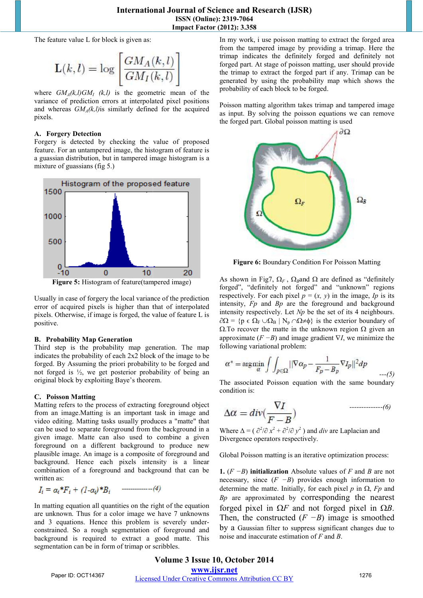The feature value L for block is given as:

$$
\mathbf{L}(k,l) = \log \left[ \frac{GM_A(k,l)}{GM_I(k,l)} \right]
$$

where  $GM_A(k,l)GM_I(k,l)$  is the geometric mean of the where  $GM_A(k,l)GM_I$  (k,l) is the geometric mean of the variance of prediction errors at interpolated pixel positions and whereas  $GM<sub>A</sub>(k,l)$  is similarly defined for the acquired pixels.

#### **A. Forgery Detection**

Forgery is detected by checking the value of proposed feature. For an untampered image, the histogram of feature is and whereas  $GM_A(k,l)$  is similarly defined for the acquired<br>pixels.<br>**A. Forgery Detection**<br>Forgery is detected by checking the value of proposed<br>feature. For an untampered image, the histogram of feature is<br>a guassian distr mixture of guassians (fig 5.)



Usually in case of forgery the local variance of the prediction error of acquired pixels is higher than that of pixels. Otherwise, if image is forged, the value of feature L is of feature(tampered image)<br>than than that interpolated<br>higher than that of interpolated

#### **B. Probability Map Generation**

Third step is the probability map generation. The map indicates the probability of each 2x2 block of the image to be forged. By Assuming the priori probability to be forged and not forged is ½, we get posterior probability of being an original block by exploiting Baye's theorem. by Assuming the priori probability to be forged and ed is  $\frac{1}{2}$ , we get posterior probability of being and block by exploiting Baye's theorem.<br>**son Matting** refers to the process of extracting foreground object image.

# **C. Poisson Matting**

positive.

Matting refers to the process of extracting foreground object from an image. Matting is an important task in image and video editing. Matting tasks usually produces a "matte" that can be used to separate foreground from the background in a given image. Matte can also used to combine a given foreground on a different background to produce new plausible image. An image is a composite of foreground and background. Hence each pixels intensity is a linear combination of a foreground and background that can be written as: editing. Matting tasks usually produces a "matte" that used to separate foreground from the background in a image. Matte can also used to combine a given bound on a different background to produce new ble image. An image i

$$
I_i = \alpha_i * F_i + (1 - \alpha_i) * B_i \qquad \qquad (4)
$$

In matting equation all quantities on the right of the equation are unknown. Thus for a color image we have 7 unknowns and 3 equations. Hence this problem is severely underare unknown. Thus for a color image we have 7 unknowns and 3 equations. Hence this problem is severely under constrained. So a rough segmentation of foreground and background is required to extract a good matte. This segmentation can be in form of trimap or scribbles.

from the tampered image by providing a trimap. Here the trimap indicates the definitely forged and definitely not forged part. At stage of poisson matting, user should provide the trimap to extract the forged part if any. Trimap can be generated by using the probability map which sh shows the probability of each block to be forged.

Poisson matting algorithm takes trimap and tampered image as input. By solving the poisson equations we can remove the forged part. Global poisson matting is used



Figure 6: Boundary Condition For Poisson Matting

As shown in Fig7,  $\Omega_F$ ,  $\Omega_B$ and  $\Omega$  are defined as "definitely" forged", "definitely not forged" and "unknown" regions respectively. For each pixel  $p = (x, y)$  in the image, *Ip* is its intensity, *Fp* and *Bp* are the foreground and background intensity respectively. Let *Np*  be the set of its 4 neighbours.  $\partial\Omega = \{p \in \Omega_F \cup \Omega_B \mid N_p \cap \Omega \neq \emptyset\}$  is the exterior boundary of  $Ω$ . To recover the matte in the unknown region  $Ω$  given an approximate  $(F − B)$  and image gradient  $\nabla I$ , we minimize the following variational problem:

$$
\alpha^* = \underset{\alpha}{\operatorname{arg\,min}} \int \int_{p \in \Omega} ||\nabla \alpha_p - \frac{1}{F_p - B_p} \nabla I_p||^2 dp \qquad \qquad \text{---(5)}
$$

The associated Poisson equation with the same boundary condition is:

$$
\Delta \alpha = div(\frac{\nabla I}{F - B})
$$
\n<sup>(6)</sup>

Where  $\Delta = (\partial^2/\partial x^2 + \partial^2/\partial y^2)$  and *div* are Laplacian and Divergence operators respectively.

Global Poisson matting is an iterative optimization process:

**1.** (*F −B*) **initialization** Absolute values of *F* and *B* are not necessary, since (*F −B*) provides enough information to determine the matte. Initially, for each pixel  $p$  in  $\Omega$ ,  $Fp$  and *Bp* are approximated by corresponding the nearest forged pixel in Ω*F* and not forged pixel in Ω*B*. Then, the constructed  $(F - B)$  image is smoothed by a Gaussian filter to suppress significant changes due to noise and inaccurate estimation of *F* and *B*.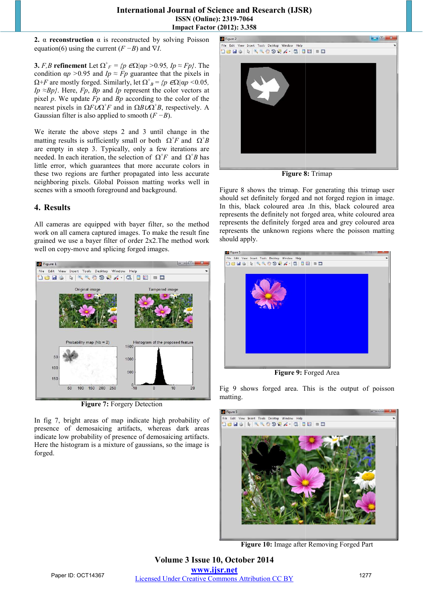## **International Journal of Science and Research (IJSR) ISSN (Online): 2319-7064 Impact Factor (2012): 3.358**

**2.**  $\alpha$  **reconstruction**  $\alpha$  is reconstructed by solving Poisson equation(6) using the current (*F −B*) and ∇ *I*.

**3.** *F,B* **refinement** Let  $\Omega^+$ <sub>*F*</sub> = *{p*  $\epsilon \Omega$ *|ap* >0.95*, Ip*  $\approx$  *Fp}*. The condition  $\alpha p > 0.95$  and  $I_p \approx F_p$  guarantee that the pixels in condition  $\alpha p > 0.95$  and  $Ip \approx Fp$  guarantee that the pixels in  $\Omega + F$  are mostly forged. Similarly, let  $\Omega^+_{\ \ B} = \{p \in \Omega | \alpha p \le 0.05, p \le 0.05, p \le 0.05, p \le 0.05, p \le 0.05, p \le 0.05, p \le 0.05, p \le 0.05, p \le 0.05, p \le 0.05, p \le 0$ *Ip* ≈*Bp*<sup>}</sup>. Here, *Fp*, *Bp* and *Ip* represent the color vectors at  $Ip \approx Bp$ . Here,  $Fp$ ,  $Bp$  and  $Ip$  represent the color vectors at pixel  $p$ . We update  $Fp$  and  $Bp$  according to the color of the nearest pixels in Ω*F∪*Ω<sup>+</sup>*F* and in Ω*B∪*Ω<sup>+</sup>*B*, respectively. A Gaussian filter is also applied to smooth  $(F - B)$ .

We iterate the above steps 2 and 3 until change in the We iterate the above steps 2 and 3 until change in the matting results is sufficiently small or both  $\Omega^+ F$  and  $\Omega^+ B$ are empty in step 3. Typically, only a few iterations are needed. In each iteration, the selection of  $\Omega^+ F$  and  $\Omega^+ B$  has needed. In each iteration, the selection of  $\Omega^+ F$  and  $\Omega^+ B$  has little error, which guarantees that more accurate colors in these two regions are further propagated into less accurate neighboring pixels. Global Poisson matting works well in scenes with a smooth foreground and background.

# **4. Results**

All cameras are equipped with bayer filter, so the method work on all camera captured images. To make the result fine grained we use a bayer filter of order 2x2.The method work well on copy-move and splicing forged images.



**Figure 7:** Forgery Detection

In fig 7, bright areas of map indicate high probability of presence of demosaicing artifacts, whereas dark areas indicate low probability of presence of demosaicing artifacts. Here the histogram is a mixture of gaussians, so the image is forged.



**Figure 8:** Trimap

Figure 8 shows the trimap. For generating this trimap user should set definitely forged and not forged region in image. should set definitely forged and not forged region in image.<br>In this, black coloured area .In this, black coloured area represents the definitely not forged area, white coloured area represents the definitely forged area and grey coloured area represents the unknown regions where the poisson matting should apply.



**Figure 9:** Forged Area

Fig 9 shows forged area. This is the output of poisson matting.



**Figure 10:** Image after Removing Forged Part